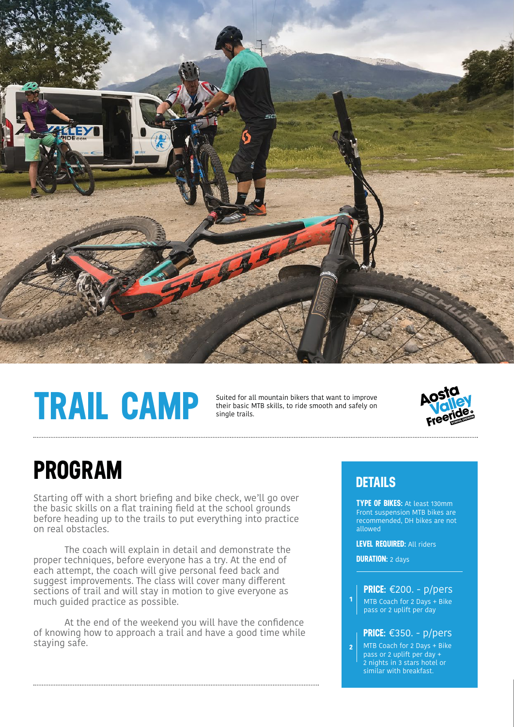

# **TRAIL CAMP**

Suited for all mountain bikers that want to improve their basic MTB skills, to ride smooth and safely on single trails.



### **PROGRAM**

Starting off with a short briefing and bike check, we'll go over the basic skills on a flat training field at the school grounds before heading up to the trails to put everything into practice on real obstacles.

 The coach will explain in detail and demonstrate the proper techniques, before everyone has a try. At the end of each attempt, the coach will give personal feed back and suggest improvements. The class will cover many different sections of trail and will stay in motion to give everyone as much guided practice as possible.

At the end of the weekend you will have the confidence of knowing how to approach a trail and have a good time while staying safe.

#### **DETAILS**

**TYPE OF BIKES:** At least 130mm Front suspension MTB bikes are recommended, DH bikes are not allowed

**LEVEL REQUIRED:** All riders

**DURATION:** 2 days

**1**

MTB Coach for 2 Days + Bike pass or 2 uplift per day **PRICE:** €200. - p/pers

#### **PRICE:** €350. - p/pers

MTB Coach for 2 Days + Bike pass or 2 uplift per day + 2 nights in 3 stars hotel or similar with breakfast. **2**